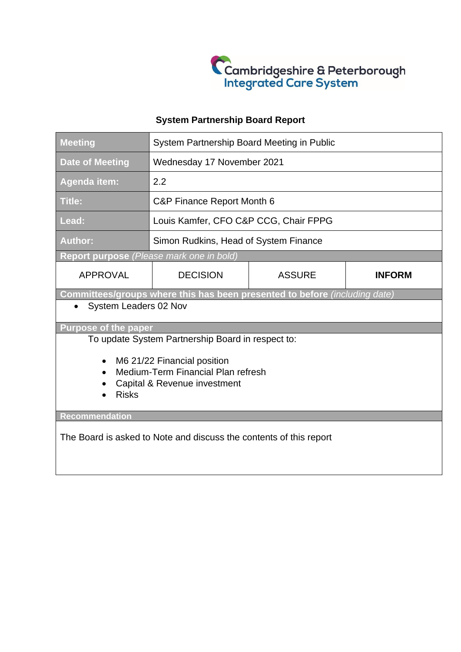

# **System Partnership Board Report**

| <b>Meeting</b>                                                             | System Partnership Board Meeting in Public |               |               |
|----------------------------------------------------------------------------|--------------------------------------------|---------------|---------------|
| <b>Date of Meeting</b>                                                     | Wednesday 17 November 2021                 |               |               |
| <b>Agenda item:</b>                                                        | 2.2                                        |               |               |
| <b>Title:</b>                                                              | C&P Finance Report Month 6                 |               |               |
| Lead:                                                                      | Louis Kamfer, CFO C&P CCG, Chair FPPG      |               |               |
| <b>Author:</b>                                                             | Simon Rudkins, Head of System Finance      |               |               |
| Report purpose (Please mark one in bold)                                   |                                            |               |               |
| <b>APPROVAL</b>                                                            | <b>DECISION</b>                            | <b>ASSURE</b> | <b>INFORM</b> |
| Committees/groups where this has been presented to before (including date) |                                            |               |               |
| System Leaders 02 Nov                                                      |                                            |               |               |
| <b>Purpose of the paper</b>                                                |                                            |               |               |
| To update System Partnership Board in respect to:                          |                                            |               |               |
| M6 21/22 Financial position<br>$\bullet$                                   |                                            |               |               |
| Medium-Term Financial Plan refresh<br>$\bullet$                            |                                            |               |               |
| Capital & Revenue investment                                               |                                            |               |               |
| <b>Risks</b>                                                               |                                            |               |               |
| Recommendation                                                             |                                            |               |               |
|                                                                            |                                            |               |               |
| The Board is asked to Note and discuss the contents of this report         |                                            |               |               |
|                                                                            |                                            |               |               |
|                                                                            |                                            |               |               |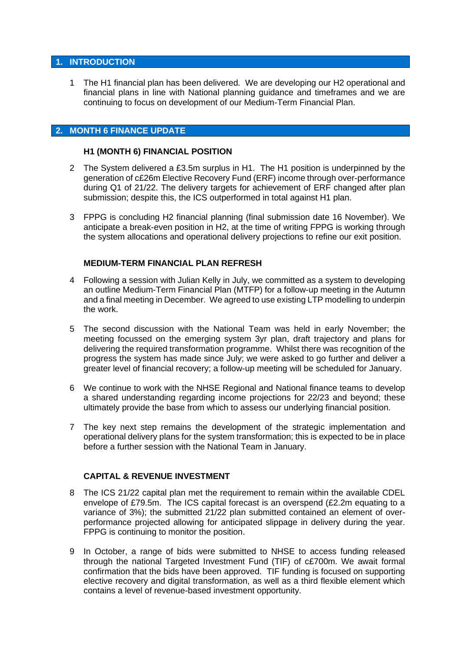#### **1. INTRODUCTION**

1 The H1 financial plan has been delivered. We are developing our H2 operational and financial plans in line with National planning guidance and timeframes and we are continuing to focus on development of our Medium-Term Financial Plan.

## **2. MONTH 6 FINANCE UPDATE**

#### **H1 (MONTH 6) FINANCIAL POSITION**

- 2 The System delivered a £3.5m surplus in H1. The H1 position is underpinned by the generation of c£26m Elective Recovery Fund (ERF) income through over-performance during Q1 of 21/22. The delivery targets for achievement of ERF changed after plan submission; despite this, the ICS outperformed in total against H1 plan.
- 3 FPPG is concluding H2 financial planning (final submission date 16 November). We anticipate a break-even position in H2, at the time of writing FPPG is working through the system allocations and operational delivery projections to refine our exit position.

#### **MEDIUM-TERM FINANCIAL PLAN REFRESH**

- 4 Following a session with Julian Kelly in July, we committed as a system to developing an outline Medium-Term Financial Plan (MTFP) for a follow-up meeting in the Autumn and a final meeting in December. We agreed to use existing LTP modelling to underpin the work.
- 5 The second discussion with the National Team was held in early November; the meeting focussed on the emerging system 3yr plan, draft trajectory and plans for delivering the required transformation programme. Whilst there was recognition of the progress the system has made since July; we were asked to go further and deliver a greater level of financial recovery; a follow-up meeting will be scheduled for January.
- 6 We continue to work with the NHSE Regional and National finance teams to develop a shared understanding regarding income projections for 22/23 and beyond; these ultimately provide the base from which to assess our underlying financial position.
- 7 The key next step remains the development of the strategic implementation and operational delivery plans for the system transformation; this is expected to be in place before a further session with the National Team in January.

## **CAPITAL & REVENUE INVESTMENT**

- 8 The ICS 21/22 capital plan met the requirement to remain within the available CDEL envelope of £79.5m. The ICS capital forecast is an overspend (£2.2m equating to a variance of 3%); the submitted 21/22 plan submitted contained an element of overperformance projected allowing for anticipated slippage in delivery during the year. FPPG is continuing to monitor the position.
- 9 In October, a range of bids were submitted to NHSE to access funding released through the national Targeted Investment Fund (TIF) of c£700m. We await formal confirmation that the bids have been approved. TIF funding is focused on supporting elective recovery and digital transformation, as well as a third flexible element which contains a level of revenue-based investment opportunity.